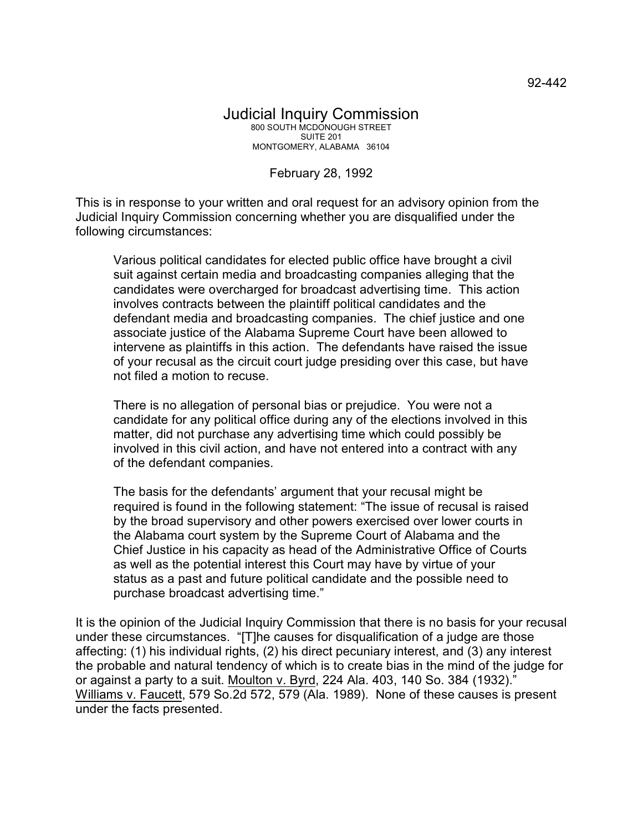## Judicial Inquiry Commission 800 SOUTH MCDONOUGH STREET SUITE 201 MONTGOMERY, ALABAMA 36104

February 28, 1992

This is in response to your written and oral request for an advisory opinion from the Judicial Inquiry Commission concerning whether you are disqualified under the following circumstances:

Various political candidates for elected public office have brought a civil suit against certain media and broadcasting companies alleging that the candidates were overcharged for broadcast advertising time. This action involves contracts between the plaintiff political candidates and the defendant media and broadcasting companies. The chief justice and one associate justice of the Alabama Supreme Court have been allowed to intervene as plaintiffs in this action. The defendants have raised the issue of your recusal as the circuit court judge presiding over this case, but have not filed a motion to recuse.

There is no allegation of personal bias or prejudice. You were not a candidate for any political office during any of the elections involved in this matter, did not purchase any advertising time which could possibly be involved in this civil action, and have not entered into a contract with any of the defendant companies.

The basis for the defendants' argument that your recusal might be required is found in the following statement: "The issue of recusal is raised by the broad supervisory and other powers exercised over lower courts in the Alabama court system by the Supreme Court of Alabama and the Chief Justice in his capacity as head of the Administrative Office of Courts as well as the potential interest this Court may have by virtue of your status as a past and future political candidate and the possible need to purchase broadcast advertising time."

It is the opinion of the Judicial Inquiry Commission that there is no basis for your recusal under these circumstances. "[T]he causes for disqualification of a judge are those affecting: (1) his individual rights, (2) his direct pecuniary interest, and (3) any interest the probable and natural tendency of which is to create bias in the mind of the judge for or against a party to a suit. Moulton v. Byrd, 224 Ala. 403, 140 So. 384 (1932)." Williams v. Faucett, 579 So.2d 572, 579 (Ala. 1989). None of these causes is present under the facts presented.